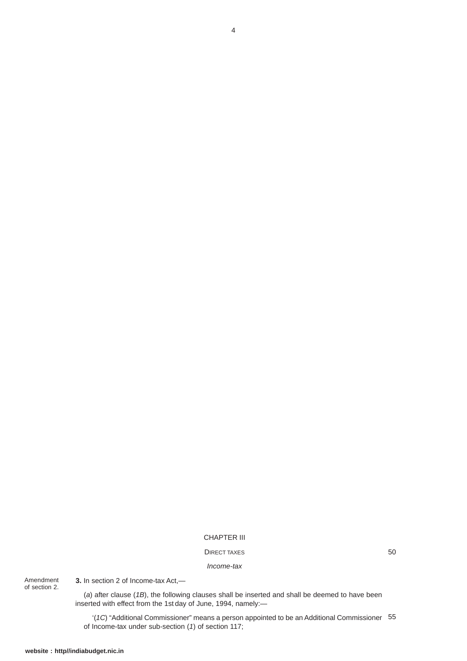## CHAPTER III

## DIRECT TAXES

*Income-tax*

Amendment of section 2.

**3.** In section 2 of Income-tax Act,—

(*a*) after clause (*1B*), the following clauses shall be inserted and shall be deemed to have been inserted with effect from the 1st day of June, 1994, namely:—

'(*1C*) "Additional Commissioner" means a person appointed to be an Additional Commissioner 55of Income-tax under sub-section (*1*) of section 117;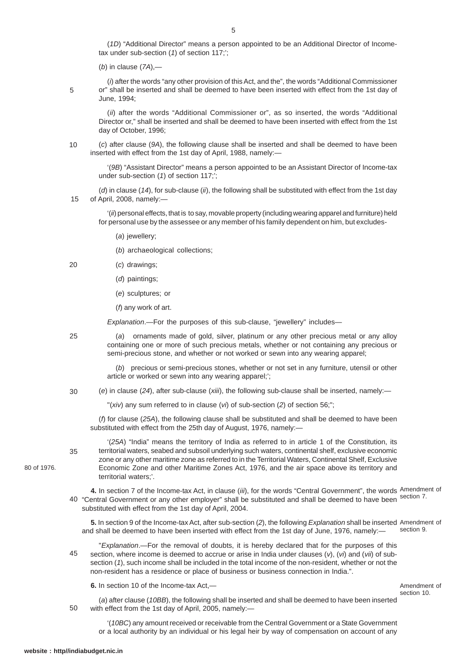June, 1994;

(*i*) after the words "any other provision of this Act, and the", the words "Additional Commissioner or" shall be inserted and shall be deemed to have been inserted with effect from the 1st day of

(*1D*) "Additional Director" means a person appointed to be an Additional Director of Income-

(*ii*) after the words "Additional Commissioner or", as so inserted, the words "Additional Director or," shall be inserted and shall be deemed to have been inserted with effect from the 1st day of October, 1996;

(*c*) after clause (*9A*), the following clause shall be inserted and shall be deemed to have been inserted with effect from the 1st day of April, 1988, namely:— 10

'(*9B*) "Assistant Director" means a person appointed to be an Assistant Director of Income-tax under sub-section (*1*) of section 117;';

(*d*) in clause (*14*), for sub-clause (*ii*), the following shall be substituted with effect from the 1st day of April, 2008, namely:— 15

'(*ii*) personal effects, that is to say, movable property (including wearing apparel and furniture) held for personal use by the assessee or any member of his family dependent on him, but excludes-

(*a*) jewellery;

(*b*) archaeological collections;

tax under sub-section (*1*) of section 117;';

(*b*) in clause (*7A*),—

- (*c*) drawings;  $20$ 
	- (*d*) paintings;
	- (*e*) sculptures; or

(*f*) any work of art.

*Explanation*.—For the purposes of this sub-clause, "jewellery" includes—

 $25$ 

35

5

(*a*) ornaments made of gold, silver, platinum or any other precious metal or any alloy containing one or more of such precious metals, whether or not containing any precious or semi-precious stone, and whether or not worked or sewn into any wearing apparel;

(*b*) precious or semi-precious stones, whether or not set in any furniture, utensil or other article or worked or sewn into any wearing apparel;';

(*e*) in clause (*24*), after sub-clause (*xiii*), the following sub-clause shall be inserted, namely:— 30

"(*xiv*) any sum referred to in clause (*vi*) of sub-section (*2*) of section 56;";

(*f*) for clause (*25A*), the following clause shall be substituted and shall be deemed to have been substituted with effect from the 25th day of August, 1976, namely:—

'(*25A*) "India" means the territory of India as referred to in article 1 of the Constitution, its territorial waters, seabed and subsoil underlying such waters, continental shelf, exclusive economic zone or any other maritime zone as referred to in the Territorial Waters, Continental Shelf, Exclusive Economic Zone and other Maritime Zones Act, 1976, and the air space above its territory and territorial waters;'.

**4.** In section 7 of the Income-tax Act, in clause (*iii*), for the words "Central Government", the words Amendment of 40 "Central Government or any other employer" shall be substituted and shall be deemed to have been substituted with effect from the 1st day of April, 2004. section 7.

**5.** In section 9 of the Income-tax Act, after sub-section (*2*), the following *Explanation* shall be inserted Amendment of and shall be deemed to have been inserted with effect from the 1st day of June, 1976, namely:section 9.

"*Explanation*.—For the removal of doubts, it is hereby declared that for the purposes of this section, where income is deemed to accrue or arise in India under clauses (*v*), (*vi*) and (*vii*) of subsection (*1*), such income shall be included in the total income of the non-resident, whether or not the non-resident has a residence or place of business or business connection in India.". 45

**6.** In section 10 of the Income-tax Act,—

## Amendment of section 10.

(*a*) after clause (*10BB*), the following shall be inserted and shall be deemed to have been inserted with effect from the 1st day of April, 2005, namely:— 50

'(*10BC*) any amount received or receivable from the Central Government or a State Government or a local authority by an individual or his legal heir by way of compensation on account of any

80 of 1976.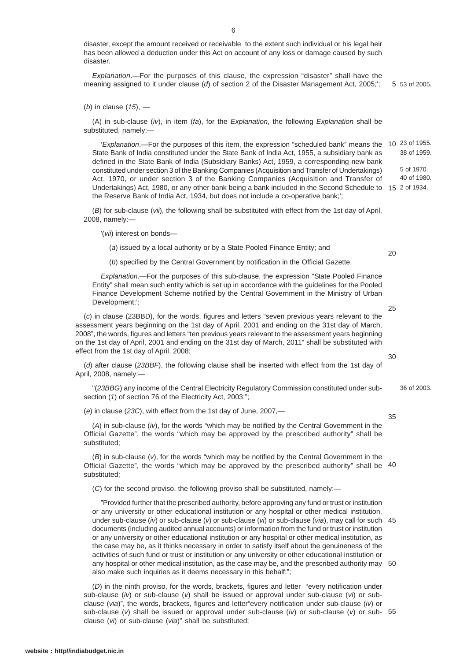disaster, except the amount received or receivable to the extent such individual or his legal heir has been allowed a deduction under this Act on account of any loss or damage caused by such disaster.

*Explanation*.—For the purposes of this clause, the expression "disaster" shall have the meaning assigned to it under clause (*d*) of section 2 of the Disaster Management Act, 2005;'; 53 of 2005. 5

(*b*) in clause (*15*), —

(A) in sub-clause (*iv*), in item (*fa*), for the *Explanation*, the following *Explanation* shall be substituted, namely:—

'Explanation.—For the purposes of this item, the expression "scheduled bank" means the 10 <sup>23 of 1955.</sup> State Bank of India constituted under the State Bank of India Act, 1955, a subsidiary bank as defined in the State Bank of India (Subsidiary Banks) Act, 1959, a corresponding new bank constituted under section 3 of the Banking Companies (Acquisition and Transfer of Undertakings) Act, 1970, or under section 3 of the Banking Companies (Acquisition and Transfer of Undertakings) Act, 1980, or any other bank being a bank included in the Second Schedule to 15 2 of 1934. the Reserve Bank of India Act, 1934, but does not include a co-operative bank;'; 38 of 1959. 5 of 1970. 40 of 1980.

(*B*) for sub-clause (*vii*), the following shall be substituted with effect from the 1st day of April, 2008, namely:—

'(*vii*) interest on bonds—

(*a*) issued by a local authority or by a State Pooled Finance Entity; and

(*b*) specified by the Central Government by notification in the Official Gazette.

*Explanation*.—For the purposes of this sub-clause, the expression "State Pooled Finance Entity" shall mean such entity which is set up in accordance with the guidelines for the Pooled Finance Development Scheme notified by the Central Government in the Ministry of Urban Development;';

(*c*) in clause (23BBD), for the words, figures and letters "seven previous years relevant to the assessment years beginning on the 1st day of April, 2001 and ending on the 31st day of March, 2008", the words, figures and letters "ten previous years relevant to the assessment years beginning on the 1st day of April, 2001 and ending on the 31st day of March, 2011" shall be substituted with effect from the 1st day of April, 2008;

(*d*) after clause (*23BBF*), the following clause shall be inserted with effect from the 1st day of April, 2008, namely:—

"(*23BBG*) any income of the Central Electricity Regulatory Commission constituted under subsection (1) of section 76 of the Electricity Act, 2003;"; 36 of 2003.

(*e*) in clause (*23C*), with effect from the 1st day of June, 2007,—

(*A*) in sub-clause (*iv*), for the words "which may be notified by the Central Government in the Official Gazette", the words "which may be approved by the prescribed authority" shall be substituted;

(*B*) in sub-clause (*v*), for the words "which may be notified by the Central Government in the Official Gazette", the words "which may be approved by the prescribed authority" shall be 40 substituted;

(*C*) for the second proviso, the following proviso shall be substituted, namely:—

"Provided further that the prescribed authority, before approving any fund or trust or institution or any university or other educational institution or any hospital or other medical institution, under sub-clause (*iv*) or sub-clause (*v*) or sub-clause (*vi*) or sub-clause (*via*), may call for such 45 documents (including audited annual accounts) or information from the fund or trust or institution or any university or other educational institution or any hospital or other medical institution, as the case may be, as it thinks necessary in order to satisfy itself about the genuineness of the activities of such fund or trust or institution or any university or other educational institution or any hospital or other medical institution, as the case may be, and the prescribed authority may 50 also make such inquiries as it deems necessary in this behalf:";

(*D*) in the ninth proviso, for the words, brackets, figures and letter "every notification under sub-clause (*iv*) or sub-clause (*v*) shall be issued or approval under sub-clause (*vi*) or subclause (*via*)", the words, brackets, figures and letter"every notification under sub-clause (*iv*) or sub-clause (*v*) shall be issued or approval under sub-clause (*iv*) or sub-clause (*v*) or sub-55clause (*vi*) or sub-clause (*via*)" shall be substituted;

20

25

30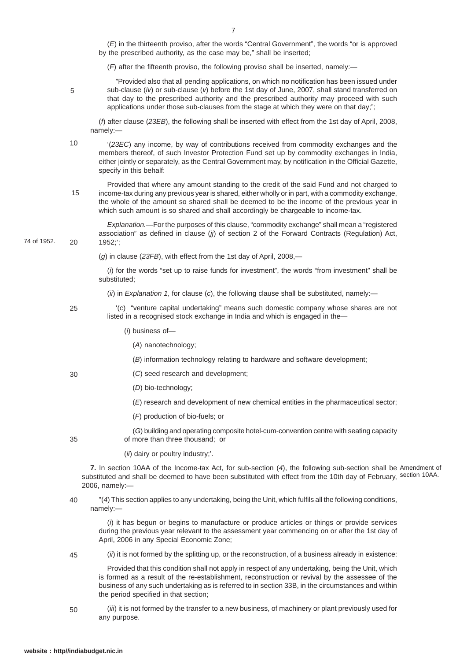by the prescribed authority, as the case may be," shall be inserted; (*F*) after the fifteenth proviso, the following proviso shall be inserted, namely:— "Provided also that all pending applications, on which no notification has been issued under sub-clause (*iv*) or sub-clause (*v*) before the 1st day of June, 2007, shall stand transferred on that day to the prescribed authority and the prescribed authority may proceed with such applications under those sub-clauses from the stage at which they were on that day;"; (*f*) after clause (*23EB*), the following shall be inserted with effect from the 1st day of April, 2008, namely:— '(*23EC*) any income, by way of contributions received from commodity exchanges and the members thereof, of such Investor Protection Fund set up by commodity exchanges in India, either jointly or separately, as the Central Government may, by notification in the Official Gazette, specify in this behalf: Provided that where any amount standing to the credit of the said Fund and not charged to income-tax during any previous year is shared, either wholly or in part, with a commodity exchange, the whole of the amount so shared shall be deemed to be the income of the previous year in which such amount is so shared and shall accordingly be chargeable to income-tax. *Explanation.*—For the purposes of this clause, "commodity exchange" shall mean a "registered association" as defined in clause (*jj*) of section 2 of the Forward Contracts (Regulation) Act, 1952;'; (*g*) in clause (*23FB*), with effect from the 1st day of April, 2008,— (*i*) for the words "set up to raise funds for investment", the words "from investment" shall be substituted; (*ii*) in *Explanation 1*, for clause (*c*), the following clause shall be substituted, namely:— '(*c*) "venture capital undertaking" means such domestic company whose shares are not listed in a recognised stock exchange in India and which is engaged in the— (*i*) business of— (*A*) nanotechnology; (*B*) information technology relating to hardware and software development; (*C*) seed research and development; (*D*) bio-technology; (*E*) research and development of new chemical entities in the pharmaceutical sector; (*F*) production of bio-fuels; or (*G*) building and operating composite hotel-cum-convention centre with seating capacity of more than three thousand; or (*ii*) dairy or poultry industry;'. **7.** In section 10AA of the Income-tax Act, for sub-section (*4*), the following sub-section shall be Amendment of substituted and shall be deemed to have been substituted with effect from the 10th day of February, section 10AA. 2006, namely:— "(*4*) This section applies to any undertaking, being the Unit, which fulfils all the following conditions, namely:— (*i*) it has begun or begins to manufacture or produce articles or things or provide services during the previous year relevant to the assessment year commencing on or after the 1st day of April, 2006 in any Special Economic Zone; 74 of 1952. 5 10 15 20 25 30 35 40

(*ii*) it is not formed by the splitting up, or the reconstruction, of a business already in existence: 45

Provided that this condition shall not apply in respect of any undertaking, being the Unit, which is formed as a result of the re-establishment, reconstruction or revival by the assessee of the business of any such undertaking as is referred to in section 33B, in the circumstances and within the period specified in that section;

(*iii*) it is not formed by the transfer to a new business, of machinery or plant previously used for any purpose. 50

(*E*) in the thirteenth proviso, after the words "Central Government", the words "or is approved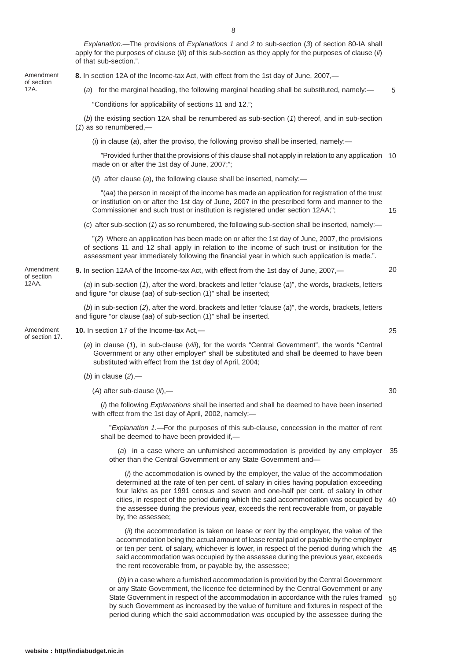*Explanation*.—The provisions of *Explanations 1* and *2* to sub-section (*3*) of section 80-IA shall apply for the purposes of clause (*iii*) of this sub-section as they apply for the purposes of clause (*ii*) of that sub-section.".

**8.** In section 12A of the Income-tax Act, with effect from the 1st day of June, 2007,—

(*a*) for the marginal heading, the following marginal heading shall be substituted, namely:— 12A. 5

"Conditions for applicability of sections 11 and 12.";

(*b*) the existing section 12A shall be renumbered as sub-section (*1*) thereof, and in sub-section (*1*) as so renumbered,—

(*i*) in clause (*a*), after the proviso, the following proviso shall be inserted, namely:—

"Provided further that the provisions of this clause shall not apply in relation to any application 10 made on or after the 1st day of June, 2007;";

(*ii*) after clause (*a*), the following clause shall be inserted, namely:—

"(*aa*) the person in receipt of the income has made an application for registration of the trust or institution on or after the 1st day of June, 2007 in the prescribed form and manner to the Commissioner and such trust or institution is registered under section 12AA;";

(*c*) after sub-section (*1*) as so renumbered, the following sub-section shall be inserted, namely:—

"(*2*) Where an application has been made on or after the 1st day of June, 2007, the provisions of sections 11 and 12 shall apply in relation to the income of such trust or institution for the assessment year immediately following the financial year in which such application is made.".

**9.** In section 12AA of the Income-tax Act, with effect from the 1st day of June, 2007,—

(*a*) in sub-section (*1*), after the word, brackets and letter "clause (*a*)", the words, brackets, letters and figure "or clause (*aa*) of sub-section (*1*)" shall be inserted;

(*b*) in sub-section (*2*), after the word, brackets and letter "clause (*a*)", the words, brackets, letters and figure "or clause (*aa*) of sub-section (*1*)" shall be inserted.

**10.** In section 17 of the Income-tax Act,—

- (*a*) in clause (*1*), in sub-clause (*viii*), for the words "Central Government", the words "Central Government or any other employer" shall be substituted and shall be deemed to have been substituted with effect from the 1st day of April, 2004;
- (*b*) in clause (*2*),—
	- (*A*) after sub-clause (*ii*),—

(*i*) the following *Explanations* shall be inserted and shall be deemed to have been inserted with effect from the 1st day of April, 2002, namely:—

"*Explanation 1*.—For the purposes of this sub-clause, concession in the matter of rent shall be deemed to have been provided if,—

(*a*) in a case where an unfurnished accommodation is provided by any employer 35 other than the Central Government or any State Government and—

(*i*) the accommodation is owned by the employer, the value of the accommodation determined at the rate of ten per cent. of salary in cities having population exceeding four lakhs as per 1991 census and seven and one-half per cent. of salary in other cities, in respect of the period during which the said accommodation was occupied by 40 the assessee during the previous year, exceeds the rent recoverable from, or payable by, the assessee;

(*ii*) the accommodation is taken on lease or rent by the employer, the value of the accommodation being the actual amount of lease rental paid or payable by the employer or ten per cent. of salary, whichever is lower, in respect of the period during which the 45 said accommodation was occupied by the assessee during the previous year, exceeds the rent recoverable from, or payable by, the assessee;

(*b*) in a case where a furnished accommodation is provided by the Central Government or any State Government, the licence fee determined by the Central Government or any State Government in respect of the accommodation in accordance with the rules framed 50by such Government as increased by the value of furniture and fixtures in respect of the period during which the said accommodation was occupied by the assessee during the

Amendment of section<br>12A

Amendment of section 17.

Amendment of section 12AA.

25

15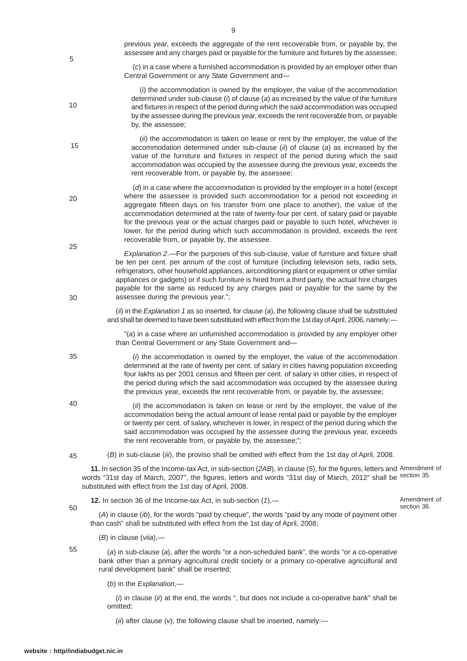| 20       | (d) in a case where the accommodation is provided by the employer in a hotel (except<br>where the assessee is provided such accommodation for a period not exceeding in<br>aggregate fifteen days on his transfer from one place to another), the value of the<br>accommodation determined at the rate of twenty-four per cent. of salary paid or payable<br>for the previous year or the actual charges paid or payable to such hotel, whichever is<br>lower, for the period during which such accommodation is provided, exceeds the rent<br>recoverable from, or payable by, the assessee. |                             |
|----------|-----------------------------------------------------------------------------------------------------------------------------------------------------------------------------------------------------------------------------------------------------------------------------------------------------------------------------------------------------------------------------------------------------------------------------------------------------------------------------------------------------------------------------------------------------------------------------------------------|-----------------------------|
| 25<br>30 | Explanation 2.- For the purposes of this sub-clause, value of furniture and fixture shall<br>be ten per cent. per annum of the cost of furniture (including television sets, radio sets,<br>refrigerators, other household appliances, airconditioning plant or equipment or other similar<br>appliances or gadgets) or if such furniture is hired from a third party, the actual hire charges<br>payable for the same as reduced by any charges paid or payable for the same by the<br>assessee during the previous year.";                                                                  |                             |
|          | (ii) in the Explanation 1 as so inserted, for clause (a), the following clause shall be substituted<br>and shall be deemed to have been substituted with effect from the 1st day of April, 2006, namely:-                                                                                                                                                                                                                                                                                                                                                                                     |                             |
|          | "(a) in a case where an unfurnished accommodation is provided by any employer other<br>than Central Government or any State Government and-                                                                                                                                                                                                                                                                                                                                                                                                                                                   |                             |
| 35       | (i) the accommodation is owned by the employer, the value of the accommodation<br>determined at the rate of twenty per cent. of salary in cities having population exceeding<br>four lakhs as per 2001 census and fifteen per cent. of salary in other cities, in respect of<br>the period during which the said accommodation was occupied by the assessee during<br>the previous year, exceeds the rent recoverable from, or payable by, the assessee;                                                                                                                                      |                             |
| 40       | (ii) the accommodation is taken on lease or rent by the employer, the value of the<br>accommodation being the actual amount of lease rental paid or payable by the employer<br>or twenty per cent. of salary, whichever is lower, in respect of the period during which the<br>said accommodation was occupied by the assessee during the previous year, exceeds<br>the rent recoverable from, or payable by, the assessee;";                                                                                                                                                                 |                             |
| 45       | (B) in sub-clause (iii), the proviso shall be omitted with effect from the 1st day of April, 2008.                                                                                                                                                                                                                                                                                                                                                                                                                                                                                            |                             |
|          | 11. In section 35 of the Income-tax Act, in sub-section (2AB), in clause (5), for the figures, letters and Amendment of<br>words "31st day of March, 2007", the figures, letters and words "31st day of March, 2012" shall be section 35.<br>substituted with effect from the 1st day of April, 2008.                                                                                                                                                                                                                                                                                         |                             |
|          | 12. In section 36 of the Income-tax Act, in sub-section (1),-                                                                                                                                                                                                                                                                                                                                                                                                                                                                                                                                 | Amendment of<br>section 36. |
| 50       | (A) in clause (ib), for the words "paid by cheque", the words "paid by any mode of payment other<br>than cash" shall be substituted with effect from the 1st day of April, 2008;                                                                                                                                                                                                                                                                                                                                                                                                              |                             |
|          | $(B)$ in clause $(viia)$ ,—                                                                                                                                                                                                                                                                                                                                                                                                                                                                                                                                                                   |                             |
| 55       | (a) in sub-clause (a), after the words "or a non-scheduled bank", the words "or a co-operative<br>bank other than a primary agricultural credit society or a primary co-operative agricultural and<br>rural development bank" shall be inserted;                                                                                                                                                                                                                                                                                                                                              |                             |

(*b*) in the *Explanation*,—

(*i*) in clause (*ii*) at the end, the words ", but does not include a co-operative bank" shall be omitted;

(*ii*) after clause (*v*), the following clause shall be inserted, namely:—

9

Central Government or any State Government and—

rent recoverable from, or payable by, the assessee;

by, the assessee;

previous year, exceeds the aggregate of the rent recoverable from, or payable by, the assessee and any charges paid or payable for the furniture and fixtures by the assessee; (*c*) in a case where a furnished accommodation is provided by an employer other than

(*i*) the accommodation is owned by the employer, the value of the accommodation determined under sub-clause (*i*) of clause (*a*) as increased by the value of the furniture and fixtures in respect of the period during which the said accommodation was occupied by the assessee during the previous year, exceeds the rent recoverable from, or payable

(*ii*) the accommodation is taken on lease or rent by the employer, the value of the accommodation determined under sub-clause (*ii*) of clause (*a*) as increased by the value of the furniture and fixtures in respect of the period during which the said accommodation was occupied by the assessee during the previous year, exceeds the

35

5

10

15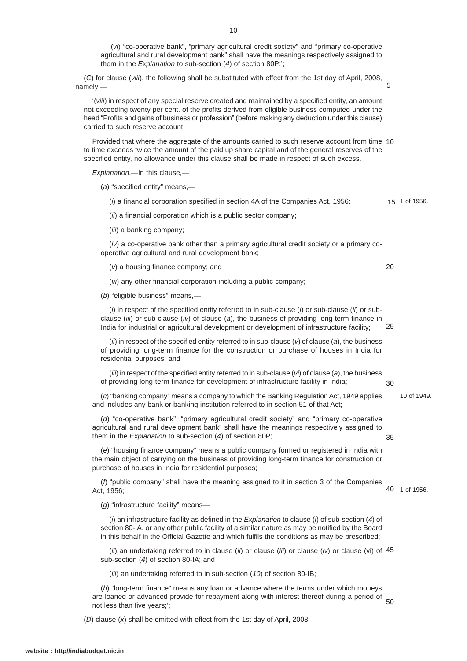'(*vi*) "co-operative bank", "primary agricultural credit society" and "primary co-operative agricultural and rural development bank" shall have the meanings respectively assigned to them in the *Explanation* to sub-section (*4*) of section 80P;';

(*C*) for clause (*viii*), the following shall be substituted with effect from the 1st day of April, 2008, namely:—

'(*viii*) in respect of any special reserve created and maintained by a specified entity, an amount not exceeding twenty per cent. of the profits derived from eligible business computed under the head "Profits and gains of business or profession" (before making any deduction under this clause) carried to such reserve account:

Provided that where the aggregate of the amounts carried to such reserve account from time 10 to time exceeds twice the amount of the paid up share capital and of the general reserves of the specified entity, no allowance under this clause shall be made in respect of such excess.

*Explanation*.—In this clause,—

(*a*) "specified entity" means,—

(*i*) a financial corporation specified in section 4A of the Companies Act, 1956; 15 1 of 1956.

(*ii*) a financial corporation which is a public sector company;

(*iii*) a banking company;

(*iv*) a co-operative bank other than a primary agricultural credit society or a primary cooperative agricultural and rural development bank;

(*v*) a housing finance company; and

(*vi*) any other financial corporation including a public company;

(*b*) "eligible business" means,—

(*i*) in respect of the specified entity referred to in sub-clause (*i*) or sub-clause (*ii*) or subclause (*iii*) or sub-clause (*iv*) of clause (*a*), the business of providing long-term finance in India for industrial or agricultural development or development of infrastructure facility; 25

(*ii*) in respect of the specified entity referred to in sub-clause (*v*) of clause (*a*), the business of providing long-term finance for the construction or purchase of houses in India for residential purposes; and

(*iii*) in respect of the specified entity referred to in sub-clause (*vi*) of clause (*a*), the business of providing long-term finance for development of infrastructure facility in India; 30

(*c*) "banking company" means a company to which the Banking Regulation Act, 1949 applies and includes any bank or banking institution referred to in section 51 of that Act;

(*d*) "co-operative bank", "primary agricultural credit society" and "primary co-operative agricultural and rural development bank" shall have the meanings respectively assigned to them in the *Explanation* to sub-section (*4*) of section 80P;

(*e*) "housing finance company" means a public company formed or registered in India with the main object of carrying on the business of providing long-term finance for construction or purchase of houses in India for residential purposes;

(*f*) "public company" shall have the meaning assigned to it in section 3 of the Companies Act, 1956;

(*g*) "infrastructure facility" means—

(*i*) an infrastructure facility as defined in the *Explanation* to clause (*i*) of sub-section (*4*) of section 80-IA, or any other public facility of a similar nature as may be notified by the Board in this behalf in the Official Gazette and which fulfils the conditions as may be prescribed;

(*ii*) an undertaking referred to in clause (*ii*) or clause (*iii*) or clause (*iv*) or clause (vi) of 45 sub-section (*4*) of section 80-IA; and

(*iii*) an undertaking referred to in sub-section (*10*) of section 80-IB;

(*h*) "long-term finance" means any loan or advance where the terms under which moneys are loaned or advanced provide for repayment along with interest thereof during a period of 50<br>not loss than five veare'' not less than five years;';

(*D*) clause (*x*) shall be omitted with effect from the 1st day of April, 2008;

40 1 of 1956.

35

10 of 1949.

5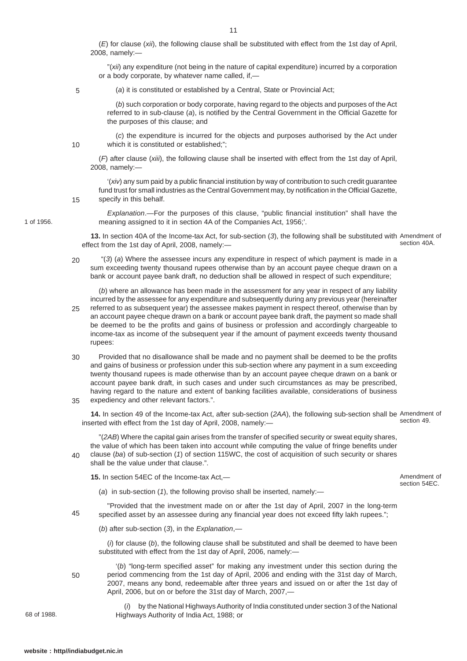(*E*) for clause (*xii*), the following clause shall be substituted with effect from the 1st day of April, 2008, namely:—

"(*xii*) any expenditure (not being in the nature of capital expenditure) incurred by a corporation or a body corporate, by whatever name called, if,—

5

10

(*a*) it is constituted or established by a Central, State or Provincial Act;

(*b*) such corporation or body corporate, having regard to the objects and purposes of the Act referred to in sub-clause (*a*), is notified by the Central Government in the Official Gazette for the purposes of this clause; and

(*c*) the expenditure is incurred for the objects and purposes authorised by the Act under which it is constituted or established;";

(*F*) after clause (*xiii*), the following clause shall be inserted with effect from the 1st day of April, 2008, namely:—

'(*xiv*) any sum paid by a public financial institution by way of contribution to such credit guarantee fund trust for small industries as the Central Government may, by notification in the Official Gazette, specify in this behalf.

15

1 of 1956.

*Explanation*.—For the purposes of this clause, "public financial institution" shall have the meaning assigned to it in section 4A of the Companies Act, 1956;'.

**13.** In section 40A of the Income-tax Act, for sub-section (*3*), the following shall be substituted with Amendment of effect from the 1st day of April, 2008, namely: section 40A.

 "(*3*) (*a*) Where the assessee incurs any expenditure in respect of which payment is made in a sum exceeding twenty thousand rupees otherwise than by an account payee cheque drawn on a bank or account payee bank draft, no deduction shall be allowed in respect of such expenditure; 20

(*b*) where an allowance has been made in the assessment for any year in respect of any liability incurred by the assessee for any expenditure and subsequently during any previous year (hereinafter referred to as subsequent year) the assessee makes payment in respect thereof, otherwise than by

- an account payee cheque drawn on a bank or account payee bank draft, the payment so made shall be deemed to be the profits and gains of business or profession and accordingly chargeable to income-tax as income of the subsequent year if the amount of payment exceeds twenty thousand rupees: 25
- Provided that no disallowance shall be made and no payment shall be deemed to be the profits and gains of business or profession under this sub-section where any payment in a sum exceeding twenty thousand rupees is made otherwise than by an account payee cheque drawn on a bank or account payee bank draft, in such cases and under such circumstances as may be prescribed, having regard to the nature and extent of banking facilities available, considerations of business expediency and other relevant factors.". 30 35

**14.** In section 49 of the Income-tax Act, after sub-section (*2AA*), the following sub-section shall be Amendment of inserted with effect from the 1st day of April, 2008, namely: section 49.

"(*2AB*) Where the capital gain arises from the transfer of specified security or sweat equity shares, the value of which has been taken into account while computing the value of fringe benefits under clause (*ba*) of sub-section (*1*) of section 115WC, the cost of acquisition of such security or shares shall be the value under that clause.".

**15.** In section 54EC of the Income-tax Act,—

Amendment of section 54EC.

(*a*) in sub-section (*1*), the following proviso shall be inserted, namely:—

"Provided that the investment made on or after the 1st day of April, 2007 in the long-term specified asset by an assessee during any financial year does not exceed fifty lakh rupees."; 45

(*b*) after sub-section (*3*), in the *Explanation*,—

(*i*) for clause (*b*), the following clause shall be substituted and shall be deemed to have been substituted with effect from the 1st day of April, 2006, namely:—

'(*b*) "long-term specified asset" for making any investment under this section during the period commencing from the 1st day of April, 2006 and ending with the 31st day of March, 2007, means any bond, redeemable after three years and issued on or after the 1st day of April, 2006, but on or before the 31st day of March, 2007,—

68 of 1988.

(*i*) by the National Highways Authority of India constituted under section 3 of the National Highways Authority of India Act, 1988; or

50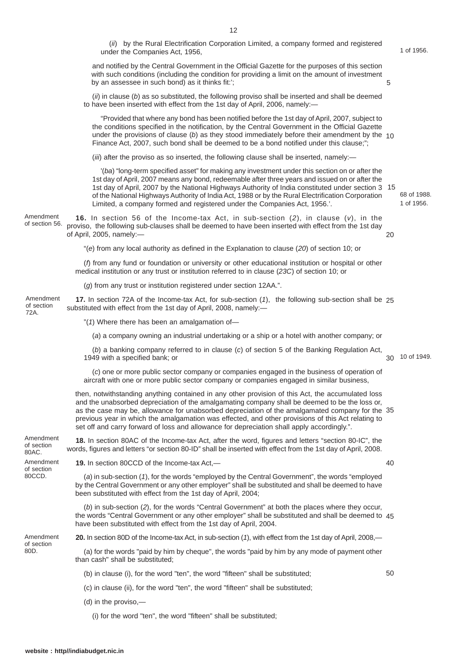and notified by the Central Government in the Official Gazette for the purposes of this section

under the Companies Act, 1956,

(*ii*) by the Rural Electrification Corporation Limited, a company formed and registered

1 of 1956.

 $40$ 

50

| with such conditions (including the condition for providing a limit on the amount of investment<br>by an assessee in such bond) as it thinks fit:';                                                                                                                                                                                                                                                                                                                                     | 5  |                          |
|-----------------------------------------------------------------------------------------------------------------------------------------------------------------------------------------------------------------------------------------------------------------------------------------------------------------------------------------------------------------------------------------------------------------------------------------------------------------------------------------|----|--------------------------|
| $(i)$ in clause (b) as so substituted, the following proviso shall be inserted and shall be deemed<br>to have been inserted with effect from the 1st day of April, 2006, namely:-                                                                                                                                                                                                                                                                                                       |    |                          |
| "Provided that where any bond has been notified before the 1st day of April, 2007, subject to<br>the conditions specified in the notification, by the Central Government in the Official Gazette<br>under the provisions of clause (b) as they stood immediately before their amendment by the $10$<br>Finance Act, 2007, such bond shall be deemed to be a bond notified under this clause;";                                                                                          |    |                          |
| (iii) after the proviso as so inserted, the following clause shall be inserted, namely:—                                                                                                                                                                                                                                                                                                                                                                                                |    |                          |
| '(ba) "long-term specified asset" for making any investment under this section on or after the<br>1st day of April, 2007 means any bond, redeemable after three years and issued on or after the<br>1st day of April, 2007 by the National Highways Authority of India constituted under section 3 15<br>of the National Highways Authority of India Act, 1988 or by the Rural Electrification Corporation<br>Limited, a company formed and registered under the Companies Act, 1956.'. |    | 68 of 1988<br>1 of 1956. |
| <b>16.</b> In section 56 of the Income-tax Act, in sub-section $(2)$ , in clause $(v)$ , in the<br>proviso, the following sub-clauses shall be deemed to have been inserted with effect from the 1st day<br>of April, 2005, namely:-                                                                                                                                                                                                                                                    | 20 |                          |
| "(e) from any local authority as defined in the Explanation to clause (20) of section 10; or                                                                                                                                                                                                                                                                                                                                                                                            |    |                          |
| (f) from any fund or foundation or university or other educational institution or hospital or other<br>medical institution or any trust or institution referred to in clause (23C) of section 10; or                                                                                                                                                                                                                                                                                    |    |                          |
| (g) from any trust or institution registered under section 12AA.".                                                                                                                                                                                                                                                                                                                                                                                                                      |    |                          |
| 17. In section 72A of the Income-tax Act, for sub-section (1), the following sub-section shall be 25<br>substituted with effect from the 1st day of April, 2008, namely:-                                                                                                                                                                                                                                                                                                               |    |                          |
| "(1) Where there has been an amalgamation of-                                                                                                                                                                                                                                                                                                                                                                                                                                           |    |                          |
| (a) a company owning an industrial undertaking or a ship or a hotel with another company; or                                                                                                                                                                                                                                                                                                                                                                                            |    |                          |
| (b) a boulding company referred to in classes (a) of exation E of the Doubles Demiction Ast                                                                                                                                                                                                                                                                                                                                                                                             |    |                          |

(*b*) a banking company referred to in clause (*c*) of section 5 of the Banking Regulation Act, 1949 with a specified bank; or 10 of 1949. 30

(*c*) one or more public sector company or companies engaged in the business of operation of aircraft with one or more public sector company or companies engaged in similar business,

then, notwithstanding anything contained in any other provision of this Act, the accumulated loss and the unabsorbed depreciation of the amalgamating company shall be deemed to be the loss or, as the case may be, allowance for unabsorbed depreciation of the amalgamated company for the 35 previous year in which the amalgamation was effected, and other provisions of this Act relating to set off and carry forward of loss and allowance for depreciation shall apply accordingly.".

**18.** In section 80AC of the Income-tax Act, after the word, figures and letters "section 80-IC", the words, figures and letters "or section 80-ID" shall be inserted with effect from the 1st day of April, 2008. Amendment

**19.** In section 80CCD of the Income-tax Act,—

(*a*) in sub-section (*1*), for the words "employed by the Central Government", the words "employed by the Central Government or any other employer" shall be substituted and shall be deemed to have been substituted with effect from the 1st day of April, 2004;

(*b*) in sub-section (*2*), for the words "Central Government" at both the places where they occur, the words "Central Government or any other employer" shall be substituted and shall be deemed to 45 have been substituted with effect from the 1st day of April, 2004.

Amendment of section 80D.

of section 80AC. Amendment of section 80CCD.

Amendment of section 56.

Amendment of section 72A.

**20.** In section 80D of the Income-tax Act, in sub-section (*1*), with effect from the 1st day of April, 2008,—

(a) for the words "paid by him by cheque", the words "paid by him by any mode of payment other than cash" shall be substituted;

(b) in clause (i), for the word "ten", the word "fifteen" shall be substituted;

- (c) in clause (ii), for the word "ten", the word "fifteen" shall be substituted;
- (d) in the proviso,—

(i) for the word "ten", the word "fifteen" shall be substituted;

**website : http//indiabudget.nic.in**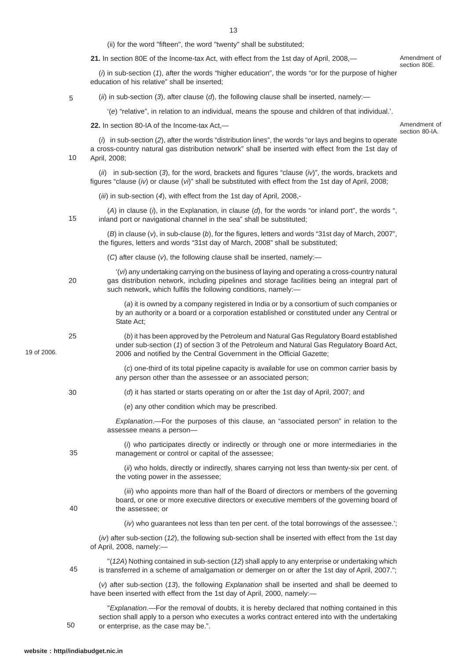(ii) for the word "fifteen", the word "twenty" shall be substituted;

**21.** In section 80E of the Income-tax Act, with effect from the 1st day of April, 2008,—

(*i*) in sub-section (*1*), after the words "higher education", the words "or for the purpose of higher education of his relative" shall be inserted;

(*ii*) in sub-section (*3*), after clause (*d*), the following clause shall be inserted, namely:—

'(*e*) "relative", in relation to an individual, means the spouse and children of that individual.'.

**22.** In section 80-IA of the Income-tax Act,—

Amendment of section 80-IA.

Amendment of section 80E.

(*i*) in sub-section (*2*), after the words "distribution lines", the words "or lays and begins to operate a cross-country natural gas distribution network" shall be inserted with effect from the 1st day of April, 2008; 10

(*ii*) in sub-section (*3*), for the word, brackets and figures "clause (*iv*)", the words, brackets and figures "clause (*iv*) or clause (*vi*)" shall be substituted with effect from the 1st day of April, 2008;

(*iii*) in sub-section (*4*), with effect from the 1st day of April, 2008,-

(*A*) in clause (*i*), in the Explanation, in clause (*d*), for the words "or inland port", the words ", inland port or navigational channel in the sea" shall be substituted; 15

(*B*) in clause (*v*), in sub-clause (*b*), for the figures, letters and words "31st day of March, 2007", the figures, letters and words "31st day of March, 2008" shall be substituted;

(*C*) after clause (*v*), the following clause shall be inserted, namely:—

'(*vi*) any undertaking carrying on the business of laying and operating a cross-country natural gas distribution network, including pipelines and storage facilities being an integral part of such network, which fulfils the following conditions, namely:-20

> (*a*) it is owned by a company registered in India or by a consortium of such companies or by an authority or a board or a corporation established or constituted under any Central or State Act;

(*b*) it has been approved by the Petroleum and Natural Gas Regulatory Board established under sub-section (*1*) of section 3 of the Petroleum and Natural Gas Regulatory Board Act, 2006 and notified by the Central Government in the Official Gazette; 25

> (*c*) one-third of its total pipeline capacity is available for use on common carrier basis by any person other than the assessee or an associated person;

- (*d*) it has started or starts operating on or after the 1st day of April, 2007; and
	- (*e*) any other condition which may be prescribed.

*Explanation*.—For the purposes of this clause, an "associated person" in relation to the assessee means a person—

(*i*) who participates directly or indirectly or through one or more intermediaries in the management or control or capital of the assessee;

> (*ii*) who holds, directly or indirectly, shares carrying not less than twenty-six per cent. of the voting power in the assessee;

40

35

30

19 of 2006.

5

(*iii*) who appoints more than half of the Board of directors or members of the governing board, or one or more executive directors or executive members of the governing board of the assessee; or

(*iv*) who guarantees not less than ten per cent. of the total borrowings of the assessee.';

(*iv*) after sub-section (*12*), the following sub-section shall be inserted with effect from the 1st day of April, 2008, namely:—

"(*12A*) Nothing contained in sub-section (*12*) shall apply to any enterprise or undertaking which is transferred in a scheme of amalgamation or demerger on or after the 1st day of April, 2007."; 45

(*v*) after sub-section (*13*), the following *Explanation* shall be inserted and shall be deemed to have been inserted with effect from the 1st day of April, 2000, namely:—

"*Explanation*.—For the removal of doubts, it is hereby declared that nothing contained in this section shall apply to a person who executes a works contract entered into with the undertaking or enterprise, as the case may be.". 50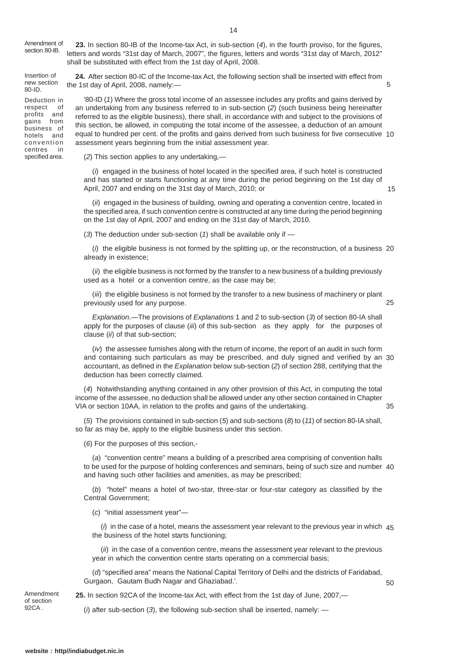Amendment of section 80-IB.

**23.** In section 80-IB of the Income-tax Act, in sub-section (*4*), in the fourth proviso, for the figures, letters and words "31st day of March, 2007", the figures, letters and words "31st day of March, 2012" shall be substituted with effect from the 1st day of April, 2008.

Insertion of new section 80-ID.

Deduction in respect of profits and gains from business of hotels and convention<br>centres in centres specified area.

**24.** After section 80-IC of the Income-tax Act, the following section shall be inserted with effect from the 1st day of April, 2008, namely:—

'80-ID (*1*) Where the gross total income of an assessee includes any profits and gains derived by an undertaking from any business referred to in sub-section (*2*) (such business being hereinafter referred to as the eligible business), there shall, in accordance with and subject to the provisions of this section, be allowed, in computing the total income of the assessee, a deduction of an amount equal to hundred per cent. of the profits and gains derived from such business for five consecutive 10 assessment years beginning from the initial assessment year.

(*2*) This section applies to any undertaking,—

(*i*) engaged in the business of hotel located in the specified area, if such hotel is constructed and has started or starts functioning at any time during the period beginning on the 1st day of April, 2007 and ending on the 31st day of March, 2010; or

15

35

50

5

(*ii*) engaged in the business of building, owning and operating a convention centre, located in the specified area, if such convention centre is constructed at any time during the period beginning on the 1st day of April, 2007 and ending on the 31st day of March, 2010.

(*3*) The deduction under sub-section (*1*) shall be available only if —

(*i*) the eligible business is not formed by the splitting up, or the reconstruction, of a business 20 already in existence;

(*ii*) the eligible business is not formed by the transfer to a new business of a building previously used as a hotel or a convention centre, as the case may be;

(*iii*) the eligible business is not formed by the transfer to a new business of machinery or plant previously used for any purpose. 25

*Explanation*.—The provisions of *Explanations* 1 and 2 to sub-section (*3*) of section 80-IA shall apply for the purposes of clause (*iii*) of this sub-section as they apply for the purposes of clause (*ii*) of that sub-section;

(*iv*) the assessee furnishes along with the return of income, the report of an audit in such form and containing such particulars as may be prescribed, and duly signed and verified by an 30 accountant, as defined in the *Explanation* below sub-section (*2*) of section 288, certifying that the deduction has been correctly claimed.

(*4*) Notwithstanding anything contained in any other provision of this Act, in computing the total income of the assessee, no deduction shall be allowed under any other section contained in Chapter VIA or section 10AA, in relation to the profits and gains of the undertaking.

(*5*) The provisions contained in sub-section (*5*) and sub-sections (*8*) to (*11*) of section 80-IA shall, so far as may be, apply to the eligible business under this section.

(*6*) For the purposes of this section,-

(*a*) "convention centre" means a building of a prescribed area comprising of convention halls to be used for the purpose of holding conferences and seminars, being of such size and number 40 and having such other facilities and amenities, as may be prescribed;

(*b*) "hotel" means a hotel of two-star, three-star or four-star category as classified by the Central Government;

(*c*) "initial assessment year"—

(*i*) in the case of a hotel, means the assessment year relevant to the previous year in which 45 the business of the hotel starts functioning;

(*ii*) in the case of a convention centre, means the assessment year relevant to the previous year in which the convention centre starts operating on a commercial basis;

(*d*) "specified area" means the National Capital Territory of Delhi and the districts of Faridabad, Gurgaon, Gautam Budh Nagar and Ghaziabad.'.

Amendment of section 92C.A

**25.** In section 92CA of the Income-tax Act, with effect from the 1st day of June, 2007,—

(*i*) after sub-section (*3*), the following sub-section shall be inserted, namely: —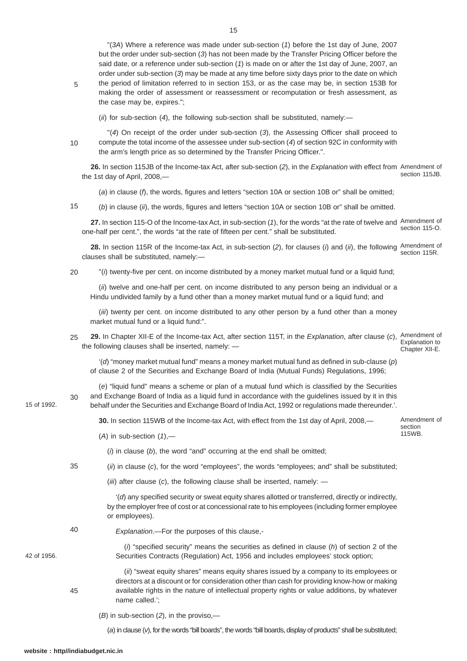"(*3A*) Where a reference was made under sub-section (*1*) before the 1st day of June, 2007 but the order under sub-section (*3*) has not been made by the Transfer Pricing Officer before the said date, or a reference under sub-section (*1*) is made on or after the 1st day of June, 2007, an order under sub-section (*3*) may be made at any time before sixty days prior to the date on which the period of limitation referred to in section 153, or as the case may be, in section 153B for making the order of assessment or reassessment or recomputation or fresh assessment, as the case may be, expires.";

5

(*ii*) for sub-section (*4*), the following sub-section shall be substituted, namely:—

10

"(*4*) On receipt of the order under sub-section (*3*), the Assessing Officer shall proceed to compute the total income of the assessee under sub-section (*4*) of section 92C in conformity with the arm's length price as so determined by the Transfer Pricing Officer.".

**26.** In section 115JB of the Income-tax Act, after sub-section (*2*), in the *Explanation* with effect from Amendment of the 1st day of April, 2008, section 115JB.

(*a*) in clause (*f*), the words, figures and letters "section 10A or section 10B or" shall be omitted;

(*b*) in clause (*ii*), the words, figures and letters "section 10A or section 10B or" shall be omitted. 15

**27.** In section 115-O of the Income-tax Act, in sub-section (*1*), for the words "at the rate of twelve and Amendment of one-half per cent.", the words "at the rate of fifteen per cent." shall be substituted. section 115-O.

**28.** In section 115R of the Income-tax Act, in sub-section (*2*), for clauses (*i*) and (*ii*), the following Amendment of clauses shall be substituted, namely: section 115R.

"(*i*) twenty-five per cent. on income distributed by a money market mutual fund or a liquid fund; 20

(*ii*) twelve and one-half per cent. on income distributed to any person being an individual or a Hindu undivided family by a fund other than a money market mutual fund or a liquid fund; and

(*iii*) twenty per cent. on income distributed to any other person by a fund other than a money market mutual fund or a liquid fund:".

**29.** In Chapter XII-E of the Income-tax Act, after section 115T, in the *Explanation*, after clause (*c*), the following clauses shall be inserted, namely: — Amendment of Explanation to Chapter XII-E. 25

'(*d*) "money market mutual fund" means a money market mutual fund as defined in sub-clause (*p*) of clause 2 of the Securities and Exchange Board of India (Mutual Funds) Regulations, 1996;

(*e*) "liquid fund" means a scheme or plan of a mutual fund which is classified by the Securities and Exchange Board of India as a liquid fund in accordance with the guidelines issued by it in this behalf under the Securities and Exchange Board of India Act, 1992 or regulations made thereunder.'. 30

**30.** In section 115WB of the Income-tax Act, with effect from the 1st day of April, 2008,—

Amendment of section 115WB.

(*A*) in sub-section (*1*),—

(*i*) in clause (*b*), the word "and" occurring at the end shall be omitted;

(*ii*) in clause (*c*), for the word "employees", the words "employees; and" shall be substituted; 35

(*iii*) after clause (*c*), the following clause shall be inserted, namely: —

*Explanation*.—For the purposes of this clause,-

'(*d*) any specified security or sweat equity shares allotted or transferred, directly or indirectly, by the employer free of cost or at concessional rate to his employees (including former employee or employees).

40

45

42 of 1956.

15 of 1992.

(*i*) "specified security" means the securities as defined in clause (*h*) of section 2 of the Securities Contracts (Regulation) Act, 1956 and includes employees' stock option;

(*ii*) "sweat equity shares" means equity shares issued by a company to its employees or directors at a discount or for consideration other than cash for providing know-how or making available rights in the nature of intellectual property rights or value additions, by whatever name called.';

(*B*) in sub-section (*2*), in the proviso,—

(*a*) in clause (*v*), for the words "bill boards", the words "bill boards, display of products" shall be substituted;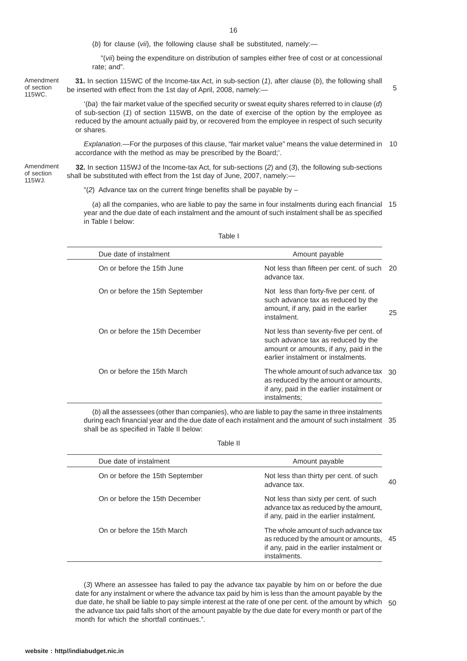(*b*) for clause (*vii*), the following clause shall be substituted, namely:—

"(*vii*) being the expenditure on distribution of samples either free of cost or at concessional rate; and".

Amendment of section 115WC.

**31.** In section 115WC of the Income-tax Act, in sub-section (*1*), after clause (*b*), the following shall be inserted with effect from the 1st day of April, 2008, namely:—

5

'(*ba*) the fair market value of the specified security or sweat equity shares referred to in clause (*d*) of sub-section (*1*) of section 115WB, on the date of exercise of the option by the employee as reduced by the amount actually paid by, or recovered from the employee in respect of such security or shares.

*Explanation.—*For the purposes of this clause, "fair market value" means the value determined in 10 accordance with the method as may be prescribed by the Board;'.

**32.** In section 115WJ of the Income-tax Act, for sub-sections (*2*) and (*3*), the following sub-sections shall be substituted with effect from the 1st day of June, 2007, namely:— Amendment of section 115WJ.

"(*2*) Advance tax on the current fringe benefits shall be payable by –

(*a*) all the companies, who are liable to pay the same in four instalments during each financial 15 year and the due date of each instalment and the amount of such instalment shall be as specified in Table I below:

Table I

| Due date of instalment          | Amount payable                                                                                                                                                |    |
|---------------------------------|---------------------------------------------------------------------------------------------------------------------------------------------------------------|----|
| On or before the 15th June      | Not less than fifteen per cent. of such 20<br>advance tax.                                                                                                    |    |
| On or before the 15th September | Not less than forty-five per cent. of<br>such advance tax as reduced by the<br>amount, if any, paid in the earlier<br>instalment.                             | 25 |
| On or before the 15th December  | Not less than seventy-five per cent. of<br>such advance tax as reduced by the<br>amount or amounts, if any, paid in the<br>earlier instalment or instalments. |    |
| On or before the 15th March     | The whole amount of such advance tax 30<br>as reduced by the amount or amounts,<br>if any, paid in the earlier instalment or<br>instalments;                  |    |

(*b*) all the assessees (other than companies), who are liable to pay the same in three instalments during each financial year and the due date of each instalment and the amount of such instalment 35 shall be as specified in Table II below:

Table II

| Due date of instalment          | Amount payable                                                                                                                               |    |
|---------------------------------|----------------------------------------------------------------------------------------------------------------------------------------------|----|
| On or before the 15th September | Not less than thirty per cent. of such<br>advance tax.                                                                                       | 40 |
| On or before the 15th December  | Not less than sixty per cent. of such<br>advance tax as reduced by the amount,<br>if any, paid in the earlier instalment.                    |    |
| On or before the 15th March     | The whole amount of such advance tax<br>as reduced by the amount or amounts, 45<br>if any, paid in the earlier instalment or<br>instalments. |    |

(*3*) Where an assessee has failed to pay the advance tax payable by him on or before the due date for any instalment or where the advance tax paid by him is less than the amount payable by the due date, he shall be liable to pay simple interest at the rate of one per cent. of the amount by which 50the advance tax paid falls short of the amount payable by the due date for every month or part of the month for which the shortfall continues.".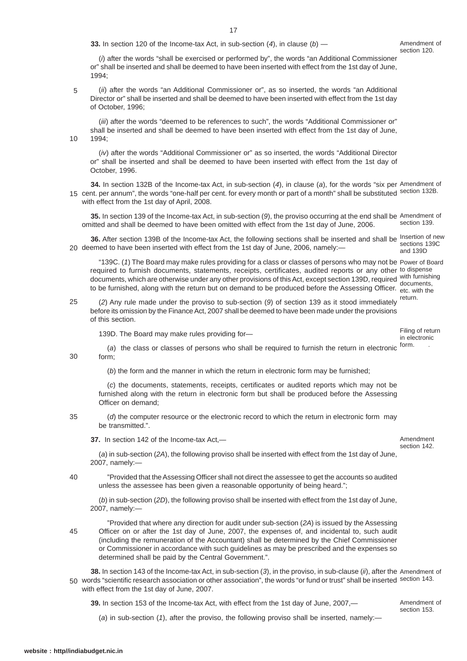**33.** In section 120 of the Income-tax Act, in sub-section (*4*), in clause (*b*) —

(*i*) after the words "shall be exercised or performed by", the words "an Additional Commissioner or" shall be inserted and shall be deemed to have been inserted with effect from the 1st day of June, 1994;

(*ii*) after the words "an Additional Commissioner or", as so inserted, the words "an Additional Director or" shall be inserted and shall be deemed to have been inserted with effect from the 1st day of October, 1996; 5

(*iii*) after the words "deemed to be references to such", the words "Additional Commissioner or" shall be inserted and shall be deemed to have been inserted with effect from the 1st day of June, 1994;

(*iv*) after the words "Additional Commissioner or" as so inserted, the words "Additional Director or" shall be inserted and shall be deemed to have been inserted with effect from the 1st day of October, 1996.

**34.** In section 132B of the Income-tax Act, in sub-section (*4*), in clause (*a*), for the words "six per Amendment of 15 cent. per annum", the words "one-half per cent. for every month or part of a month" shall be substituted section 132B. with effect from the 1st day of April, 2008.

**35.** In section 139 of the Income-tax Act, in sub-section (*9*), the proviso occurring at the end shall be Amendment of omitted and shall be deemed to have been omitted with effect from the 1st day of June, 2006. section 139.

**36.** After section 139B of the Income-tax Act, the following sections shall be inserted and shall be Insertion of new 20 deemed to have been inserted with effect from the 1st day of June, 2006, namely:sections 139C and 139D

"139C. (*1*) The Board may make rules providing for a class or classes of persons who may not be Power of Board required to furnish documents, statements, receipts, certificates, audited reports or any other to dispense documents, which are otherwise under any other provisions of this Act, except section 139D, required with furnishing to be furnished, along with the return but on demand to be produced before the Assessing Officer. etc. with the documents,

(2) Any rule made under the proviso to sub-section (9) of section 139 as it stood immediately return. before its omission by the Finance Act, 2007 shall be deemed to have been made under the provisions of this section. 25

139D. The Board may make rules providing for—

Filing of return in electronic

(a) the class or classes of persons who shall be required to furnish the return in electronic <sup>form.</sup> form;

(*b*) the form and the manner in which the return in electronic form may be furnished;

(*c*) the documents, statements, receipts, certificates or audited reports which may not be furnished along with the return in electronic form but shall be produced before the Assessing Officer on demand;

(*d*) the computer resource or the electronic record to which the return in electronic form may be transmitted.". 35

**37.** In section 142 of the Income-tax Act,—

(*a*) in sub-section (*2A*), the following proviso shall be inserted with effect from the 1st day of June, 2007, namely:—

"Provided that the Assessing Officer shall not direct the assessee to get the accounts so audited unless the assessee has been given a reasonable opportunity of being heard."; 40

(*b*) in sub-section (*2D*), the following proviso shall be inserted with effect from the 1st day of June, 2007, namely:—

"Provided that where any direction for audit under sub-section (*2A*) is issued by the Assessing Officer on or after the 1st day of June, 2007, the expenses of, and incidental to, such audit (including the remuneration of the Accountant) shall be determined by the Chief Commissioner or Commissioner in accordance with such guidelines as may be prescribed and the expenses so determined shall be paid by the Central Government.".

**38.** In section 143 of the Income-tax Act, in sub-section (*3*), in the proviso, in sub-clause (*ii*), after the Amendment of 50 words "scientific research association or other association", the words "or fund or trust" shall be inserted section 143. with effect from the 1st day of June, 2007.

**39.** In section 153 of the Income-tax Act, with effect from the 1st day of June, 2007,—

Amendment of section 153.

(*a*) in sub-section (*1*), after the proviso, the following proviso shall be inserted, namely:—

45

10

30

Amendment section 142.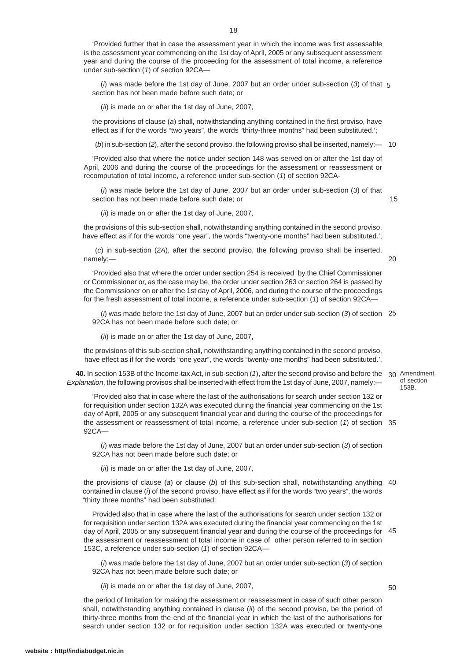'Provided further that in case the assessment year in which the income was first assessable is the assessment year commencing on the 1st day of April, 2005 or any subsequent assessment year and during the course of the proceeding for the assessment of total income, a reference under sub-section (*1*) of section 92CA—

(*i*) was made before the 1st day of June, 2007 but an order under sub-section (*3*) of that 5 section has not been made before such date; or

(*ii*) is made on or after the 1st day of June, 2007,

the provisions of clause (*a*) shall, notwithstanding anything contained in the first proviso, have effect as if for the words "two years", the words "thirty-three months" had been substituted.';

(*b*) in sub-section (*2*), after the second proviso, the following proviso shall be inserted, namely:— 10

'Provided also that where the notice under section 148 was served on or after the 1st day of April, 2006 and during the course of the proceedings for the assessment or reassessment or recomputation of total income, a reference under sub-section (*1*) of section 92CA-

(*i*) was made before the 1st day of June, 2007 but an order under sub-section (*3*) of that section has not been made before such date; or

15

20

(*ii*) is made on or after the 1st day of June, 2007,

the provisions of this sub-section shall, notwithstanding anything contained in the second proviso, have effect as if for the words "one year", the words "twenty-one months" had been substituted.';

(*c*) in sub-section (*2A*), after the second proviso, the following proviso shall be inserted, namely:—

'Provided also that where the order under section 254 is received by the Chief Commissioner or Commissioner or, as the case may be, the order under section 263 or section 264 is passed by the Commissioner on or after the 1st day of April, 2006, and during the course of the proceedings for the fresh assessment of total income, a reference under sub-section (*1*) of section 92CA—

(*i*) was made before the 1st day of June, 2007 but an order under sub-section (*3*) of section 25 92CA has not been made before such date; or

(*ii*) is made on or after the 1st day of June, 2007,

the provisions of this sub-section shall, notwithstanding anything contained in the second proviso, have effect as if for the words "one year", the words "twenty-one months" had been substituted.'.

**40.** In section 153B of the Income-tax Act, in sub-section (1), after the second proviso and before the 30 Amendment *Explanation*, the following provisos shall be inserted with effect from the 1st day of June, 2007, namely:—

of section 153B.

'Provided also that in case where the last of the authorisations for search under section 132 or for requisition under section 132A was executed during the financial year commencing on the 1st day of April, 2005 or any subsequent financial year and during the course of the proceedings for the assessment or reassessment of total income, a reference under sub-section (*1*) of section 35 92CA—

(*i*) was made before the 1st day of June, 2007 but an order under sub-section (*3*) of section 92CA has not been made before such date; or

(*ii*) is made on or after the 1st day of June, 2007,

the provisions of clause (*a*) or clause (*b*) of this sub-section shall, notwithstanding anything 40 contained in clause (*i*) of the second proviso, have effect as if for the words "two years", the words "thirty three months" had been substituted:

Provided also that in case where the last of the authorisations for search under section 132 or for requisition under section 132A was executed during the financial year commencing on the 1st day of April, 2005 or any subsequent financial year and during the course of the proceedings for 45 the assessment or reassessment of total income in case of other person referred to in section 153C, a reference under sub-section (*1*) of section 92CA—

(*i*) was made before the 1st day of June, 2007 but an order under sub-section (*3*) of section 92CA has not been made before such date; or

(*ii*) is made on or after the 1st day of June, 2007,

50

the period of limitation for making the assessment or reassessment in case of such other person shall, notwithstanding anything contained in clause (*ii*) of the second proviso, be the period of thirty-three months from the end of the financial year in which the last of the authorisations for search under section 132 or for requisition under section 132A was executed or twenty-one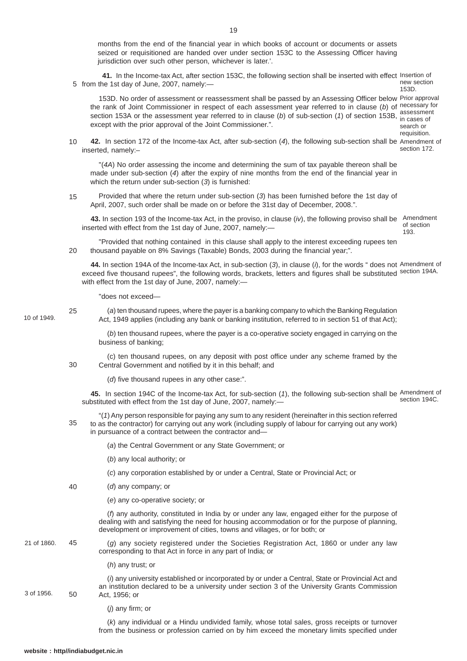months from the end of the financial year in which books of account or documents or assets seized or requisitioned are handed over under section 153C to the Assessing Officer having jurisdiction over such other person, whichever is later.'.

 **41.** In the Income-tax Act, after section 153C, the following section shall be inserted with effect Insertion of 5 from the 1st day of June, 2007, namely:new section 153D.

153D. No order of assessment or reassessment shall be passed by an Assessing Officer below Prior approval the rank of Joint Commissioner in respect of each assessment year referred to in clause (*b*) of necessary for section 153A or the assessment year referred to in clause (*b*) of sub-section (*1*) of section 153B, in cases of except with the prior approval of the Joint Commissioner.". in cases of search or

requisition.

**42.** In section 172 of the Income-tax Act, after sub-section (*4*), the following sub-section shall be Amendment of inserted, namely:– section 172. 10

"(*4A*) No order assessing the income and determining the sum of tax payable thereon shall be made under sub-section (*4*) after the expiry of nine months from the end of the financial year in which the return under sub-section (*3*) is furnished:

Provided that where the return under sub-section (*3*) has been furnished before the 1st day of April, 2007, such order shall be made on or before the 31st day of December, 2008.". 15

**43.** In section 193 of the Income-tax Act, in the proviso, in clause (*iv*), the following proviso shall be inserted with effect from the 1st day of June, 2007, namely:— Amendment of section 193.

"Provided that nothing contained in this clause shall apply to the interest exceeding rupees ten thousand payable on 8% Savings (Taxable) Bonds, 2003 during the financial year;". 20

**44.** In section 194A of the Income-tax Act, in sub-section (*3*), in clause (*i*), for the words " does not Amendment of exceed five thousand rupees", the following words, brackets, letters and figures shall be substituted section 194A. with effect from the 1st day of June, 2007, namely:—

"does not exceed—

10 of 1949.

25

(*a*) ten thousand rupees, where the payer is a banking company to which the Banking Regulation Act, 1949 applies (including any bank or banking institution, referred to in section 51 of that Act);

(*b*) ten thousand rupees, where the payer is a co-operative society engaged in carrying on the business of banking;

(c) ten thousand rupees, on any deposit with post office under any scheme framed by the Central Government and notified by it in this behalf; and 30

(*d*) five thousand rupees in any other case:".

**45.** In section 194C of the Income-tax Act, for sub-section (*1*), the following sub-section shall be Amendment of substituted with effect from the 1st day of June, 2007, namely: section 194C.

"(*1*) Any person responsible for paying any sum to any resident (hereinafter in this section referred to as the contractor) for carrying out any work (including supply of labour for carrying out any work) in pursuance of a contract between the contractor and— 35

- (*a*) the Central Government or any State Government; or
- (*b*) any local authority; or
- (*c*) any corporation established by or under a Central, State or Provincial Act; or
- (*d*) any company; or 40
	- (*e*) any co-operative society; or

(*f*) any authority, constituted in India by or under any law, engaged either for the purpose of dealing with and satisfying the need for housing accommodation or for the purpose of planning, development or improvement of cities, towns and villages, or for both; or

(*g*) any society registered under the Societies Registration Act, 1860 or under any law corresponding to that Act in force in any part of India; or 21 of 1860. 45

(*h*) any trust; or

(*i*) any university established or incorporated by or under a Central, State or Provincial Act and an institution declared to be a university under section 3 of the University Grants Commission Act, 1956; or 3 of 1956. 50

(*j*) any firm; or

(*k*) any individual or a Hindu undivided family, whose total sales, gross receipts or turnover from the business or profession carried on by him exceed the monetary limits specified under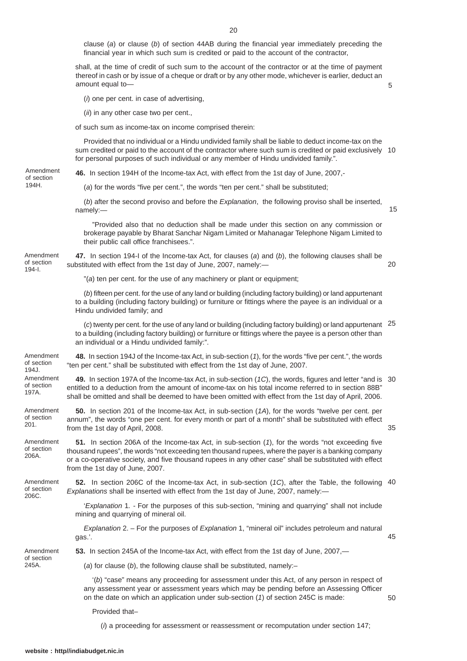clause (*a*) or clause (*b*) of section 44AB during the financial year immediately preceding the financial year in which such sum is credited or paid to the account of the contractor, shall, at the time of credit of such sum to the account of the contractor or at the time of payment thereof in cash or by issue of a cheque or draft or by any other mode, whichever is earlier, deduct an amount equal to— (*i*) one per cent. in case of advertising,

5

15

20

35

45

50

(*ii*) in any other case two per cent.,

of such sum as income-tax on income comprised therein:

Provided that no individual or a Hindu undivided family shall be liable to deduct income-tax on the sum credited or paid to the account of the contractor where such sum is credited or paid exclusively 10 for personal purposes of such individual or any member of Hindu undivided family.".

**46.** In section 194H of the Income-tax Act, with effect from the 1st day of June, 2007,- Amendment of section

(*a*) for the words "five per cent.", the words "ten per cent." shall be substituted;

(*b*) after the second proviso and before the *Explanation*, the following proviso shall be inserted, namely:—

"Provided also that no deduction shall be made under this section on any commission or brokerage payable by Bharat Sanchar Nigam Limited or Mahanagar Telephone Nigam Limited to their public call office franchisees.".

Amendment of section 194-I.

194H.

**47.** In section 194-I of the Income-tax Act, for clauses (*a*) and (*b*), the following clauses shall be substituted with effect from the 1st day of June, 2007, namely:—

"(*a*) ten per cent. for the use of any machinery or plant or equipment;

"ten per cent." shall be substituted with effect from the 1st day of June, 2007.

(*b*) fifteen per cent. for the use of any land or building (including factory building) or land appurtenant to a building (including factory building) or furniture or fittings where the payee is an individual or a Hindu undivided family; and

(*c*) twenty per cent. for the use of any land or building (including factory building) or land appurtenant 25 to a building (including factory building) or furniture or fittings where the payee is a person other than an individual or a Hindu undivided family:".

Amendment of section 194J.

Amendment of section 197A.

**49.** In section 197A of the Income-tax Act, in sub-section (*1C*), the words, figures and letter "and is 30 entitled to a deduction from the amount of income-tax on his total income referred to in section 88B" shall be omitted and shall be deemed to have been omitted with effect from the 1st day of April, 2006.

**48.** In section 194J of the Income-tax Act, in sub-section (*1*), for the words "five per cent.", the words

**50.** In section 201 of the Income-tax Act, in sub-section (*1A*), for the words "twelve per cent. per annum", the words "one per cent. for every month or part of a month" shall be substituted with effect from the 1st day of April, 2008. Amendment of section 201.

**51.** In section 206A of the Income-tax Act, in sub-section (*1*), for the words "not exceeding five thousand rupees", the words "not exceeding ten thousand rupees, where the payer is a banking company or a co-operative society, and five thousand rupees in any other case" shall be substituted with effect from the 1st day of June, 2007. Amendment of section 206A.

Amendment of section 206C.

**52.** In section 206C of the Income-tax Act, in sub-section (*1C*), after the Table, the following 40 *Explanations* shall be inserted with effect from the 1st day of June, 2007, namely:—

'*Explanation* 1*. -* For the purposes of this sub-section, "mining and quarrying" shall not include mining and quarrying of mineral oil.

*Explanation* 2. – For the purposes of *Explanation* 1, "mineral oil" includes petroleum and natural gas.'.

**53.** In section 245A of the Income-tax Act, with effect from the 1st day of June, 2007,—

Amendment of section

245A.

(*a*) for clause (*b*), the following clause shall be substituted, namely:–

'(*b*) "case" means any proceeding for assessment under this Act, of any person in respect of any assessment year or assessment years which may be pending before an Assessing Officer on the date on which an application under sub-section (*1*) of section 245C is made:

Provided that–

(*i*) a proceeding for assessment or reassessment or recomputation under section 147;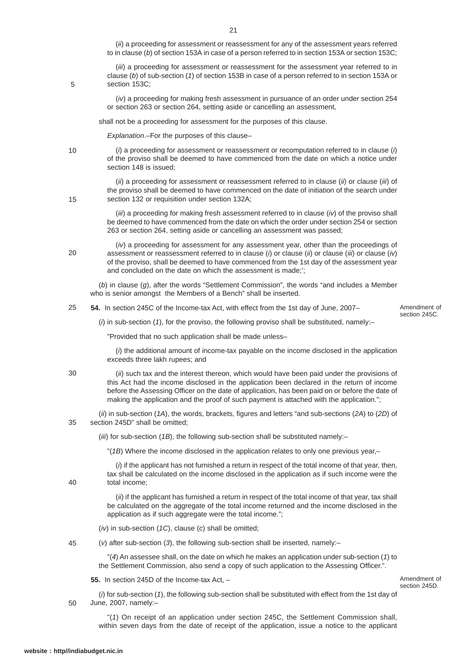(*ii*) a proceeding for assessment or reassessment for any of the assessment years referred to in clause (*b*) of section 153A in case of a person referred to in section 153A or section 153C;

(*iii*) a proceeding for assessment or reassessment for the assessment year referred to in clause (*b*) of sub-section (*1*) of section 153B in case of a person referred to in section 153A or section 153C:

(*iv*) a proceeding for making fresh assessment in pursuance of an order under section 254 or section 263 or section 264, setting aside or cancelling an assessment,

shall not be a proceeding for assessment for the purposes of this clause.

*Explanation*.–For the purposes of this clause–

(*i*) a proceeding for assessment or reassessment or recomputation referred to in clause (*i*) of the proviso shall be deemed to have commenced from the date on which a notice under section 148 is issued;

(*ii*) a proceeding for assessment or reassessment referred to in clause (*ii*) or clause (*iii*) of the proviso shall be deemed to have commenced on the date of initiation of the search under section 132 or requisition under section 132A;

(*iii*) a proceeding for making fresh assessment referred to in clause (*iv*) of the proviso shall be deemed to have commenced from the date on which the order under section 254 or section 263 or section 264, setting aside or cancelling an assessment was passed;

(*iv*) a proceeding for assessment for any assessment year, other than the proceedings of assessment or reassessment referred to in clause (*i*) or clause (*ii*) or clause (*iii*) or clause (*iv*) of the proviso, shall be deemed to have commenced from the 1st day of the assessment year and concluded on the date on which the assessment is made;';

(*b*) in clause (*g*), after the words "Settlement Commission", the words "and includes a Member who is senior amongst the Members of a Bench" shall be inserted.

**54.** In section 245C of the Income-tax Act, with effect from the 1st day of June, 2007– 25

Amendment of section 245C.

(*i*) in sub-section (*1*), for the proviso, the following proviso shall be substituted, namely:–

"Provided that no such application shall be made unless–

(*i*) the additional amount of income-tax payable on the income disclosed in the application exceeds three lakh rupees; and

(*ii*) such tax and the interest thereon, which would have been paid under the provisions of this Act had the income disclosed in the application been declared in the return of income before the Assessing Officer on the date of application, has been paid on or before the date of making the application and the proof of such payment is attached with the application."; 30

(*ii*) in sub-section (*1A*), the words, brackets, figures and letters "and sub-sections (*2A*) to (*2D*) of section 245D" shall be omitted; 35

(*iii*) for sub-section (*1B*), the following sub-section shall be substituted namely:–

"(*1B*) Where the income disclosed in the application relates to only one previous year,–

(*i*) if the applicant has not furnished a return in respect of the total income of that year, then, tax shall be calculated on the income disclosed in the application as if such income were the total income;

(*ii*) if the applicant has furnished a return in respect of the total income of that year, tax shall be calculated on the aggregate of the total income returned and the income disclosed in the application as if such aggregate were the total income.";

- (*iv*) in sub-section (*1C*), clause (*c*) shall be omitted;
- (*v*) after sub-section (*3*), the following sub-section shall be inserted, namely:– 45

"(*4*) An assessee shall, on the date on which he makes an application under sub-section (*1*) to the Settlement Commission, also send a copy of such application to the Assessing Officer.".

**55.** In section 245D of the Income-tax Act, –

Amendment of section 245D.

(*i*) for sub-section (*1*), the following sub-section shall be substituted with effect from the 1st day of June, 2007, namely:– 50

"(*1*) On receipt of an application under section 245C, the Settlement Commission shall, within seven days from the date of receipt of the application, issue a notice to the applicant

40

5

10

15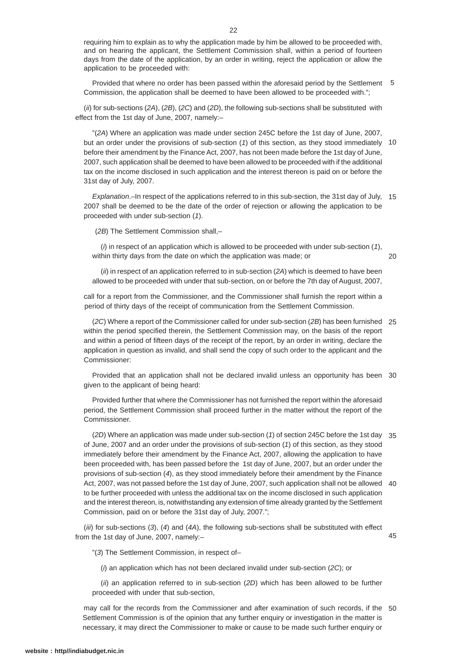requiring him to explain as to why the application made by him be allowed to be proceeded with, and on hearing the applicant, the Settlement Commission shall, within a period of fourteen days from the date of the application, by an order in writing, reject the application or allow the application to be proceeded with:

Provided that where no order has been passed within the aforesaid period by the Settlement 5 Commission, the application shall be deemed to have been allowed to be proceeded with.";

(*ii*) for sub-sections (*2A*), (*2B*), (*2C*) and (*2D*), the following sub-sections shall be substituted with effect from the 1st day of June, 2007, namely:–

"(*2A*) Where an application was made under section 245C before the 1st day of June, 2007, but an order under the provisions of sub-section (*1*) of this section, as they stood immediately 10 before their amendment by the Finance Act, 2007, has not been made before the 1st day of June, 2007, such application shall be deemed to have been allowed to be proceeded with if the additional tax on the income disclosed in such application and the interest thereon is paid on or before the 31st day of July, 2007.

*Explanation*.–In respect of the applications referred to in this sub-section, the 31st day of July, 15 2007 shall be deemed to be the date of the order of rejection or allowing the application to be proceeded with under sub-section (*1*).

(*2B*) The Settlement Commission shall,–

(*i*) in respect of an application which is allowed to be proceeded with under sub-section (*1*), within thirty days from the date on which the application was made; or

 $20$ 

(*ii*) in respect of an application referred to in sub-section (*2A*) which is deemed to have been allowed to be proceeded with under that sub-section, on or before the 7th day of August, 2007,

call for a report from the Commissioner, and the Commissioner shall furnish the report within a period of thirty days of the receipt of communication from the Settlement Commission.

(*2C*) Where a report of the Commissioner called for under sub-section (*2B*) has been furnished 25 within the period specified therein, the Settlement Commission may, on the basis of the report and within a period of fifteen days of the receipt of the report, by an order in writing, declare the application in question as invalid, and shall send the copy of such order to the applicant and the Commissioner:

Provided that an application shall not be declared invalid unless an opportunity has been 30 given to the applicant of being heard:

Provided further that where the Commissioner has not furnished the report within the aforesaid period, the Settlement Commission shall proceed further in the matter without the report of the Commissioner.

(*2D*) Where an application was made under sub-section (*1*) of section 245C before the 1st day 35 of June, 2007 and an order under the provisions of sub-section (*1*) of this section, as they stood immediately before their amendment by the Finance Act, 2007, allowing the application to have been proceeded with, has been passed before the 1st day of June, 2007, but an order under the provisions of sub-section (*4*), as they stood immediately before their amendment by the Finance Act, 2007, was not passed before the 1st day of June, 2007, such application shall not be allowed 40 to be further proceeded with unless the additional tax on the income disclosed in such application and the interest thereon, is, notwithstanding any extension of time already granted by the Settlement Commission, paid on or before the 31st day of July, 2007.";

(*iii*) for sub-sections (*3*), (*4*) and (*4A*), the following sub-sections shall be substituted with effect from the 1st day of June, 2007, namely:–

45

"(*3*) The Settlement Commission, in respect of–

(*i*) an application which has not been declared invalid under sub-section (*2C*); or

(*ii*) an application referred to in sub-section (*2D*) which has been allowed to be further proceeded with under that sub-section,

may call for the records from the Commissioner and after examination of such records, if the 50Settlement Commission is of the opinion that any further enquiry or investigation in the matter is necessary, it may direct the Commissioner to make or cause to be made such further enquiry or